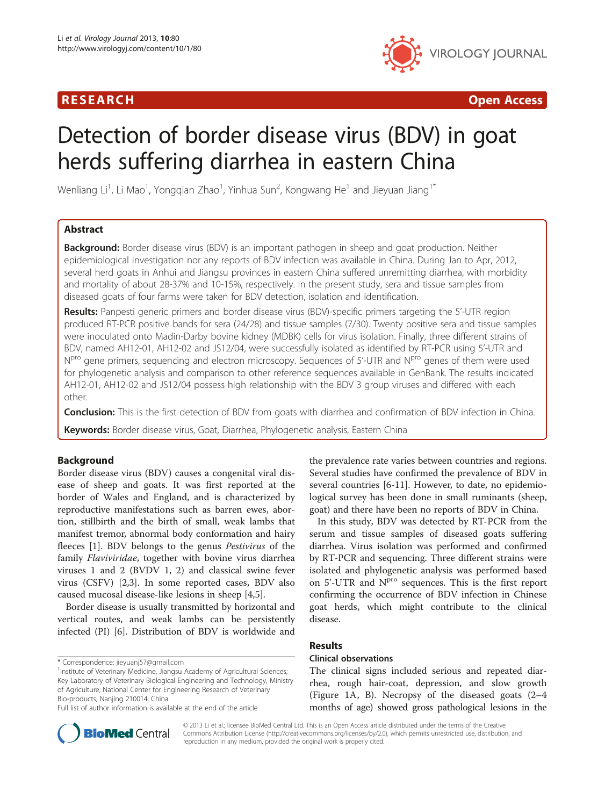# R E S EAR CH Open Access



# Detection of border disease virus (BDV) in goat herds suffering diarrhea in eastern China

Wenliang Li $^1$ , Li Mao $^1$ , Yongqian Zhao $^1$ , Yinhua Sun $^2$ , Kongwang He $^1$  and Jieyuan Jiang $^1{}^*$ 

# Abstract

Background: Border disease virus (BDV) is an important pathogen in sheep and goat production. Neither epidemiological investigation nor any reports of BDV infection was available in China. During Jan to Apr, 2012, several herd goats in Anhui and Jiangsu provinces in eastern China suffered unremitting diarrhea, with morbidity and mortality of about 28-37% and 10-15%, respectively. In the present study, sera and tissue samples from diseased goats of four farms were taken for BDV detection, isolation and identification.

Results: Panpesti generic primers and border disease virus (BDV)-specific primers targeting the 5'-UTR region produced RT-PCR positive bands for sera (24/28) and tissue samples (7/30). Twenty positive sera and tissue samples were inoculated onto Madin-Darby bovine kidney (MDBK) cells for virus isolation. Finally, three different strains of BDV, named AH12-01, AH12-02 and JS12/04, were successfully isolated as identified by RT-PCR using 5'-UTR and N<sup>pro</sup> gene primers, sequencing and electron microscopy. Sequences of 5'-UTR and N<sup>pro</sup> genes of them were used for phylogenetic analysis and comparison to other reference sequences available in GenBank. The results indicated AH12-01, AH12-02 and JS12/04 possess high relationship with the BDV 3 group viruses and differed with each other.

**Conclusion:** This is the first detection of BDV from goats with diarrhea and confirmation of BDV infection in China.

Keywords: Border disease virus, Goat, Diarrhea, Phylogenetic analysis, Eastern China

# Background

Border disease virus (BDV) causes a congenital viral disease of sheep and goats. It was first reported at the border of Wales and England, and is characterized by reproductive manifestations such as barren ewes, abortion, stillbirth and the birth of small, weak lambs that manifest tremor, abnormal body conformation and hairy fleeces [[1\]](#page-5-0). BDV belongs to the genus Pestivirus of the family Flaviviridae, together with bovine virus diarrhea viruses 1 and 2 (BVDV 1, 2) and classical swine fever virus (CSFV) [\[2,3](#page-5-0)]. In some reported cases, BDV also caused mucosal disease-like lesions in sheep [\[4,5](#page-5-0)].

Border disease is usually transmitted by horizontal and vertical routes, and weak lambs can be persistently infected (PI) [\[6](#page-5-0)]. Distribution of BDV is worldwide and

\* Correspondence: [jieyuanj57@gmail.com](mailto:jieyuanj57@gmail.com) <sup>1</sup>



In this study, BDV was detected by RT-PCR from the serum and tissue samples of diseased goats suffering diarrhea. Virus isolation was performed and confirmed by RT-PCR and sequencing. Three different strains were isolated and phylogenetic analysis was performed based on 5'-UTR and N<sup>pro</sup> sequences. This is the first report confirming the occurrence of BDV infection in Chinese goat herds, which might contribute to the clinical disease.

# Results

# Clinical observations

The clinical signs included serious and repeated diarrhea, rough hair-coat, depression, and slow growth (Figure [1](#page-1-0)A, B). Necropsy of the diseased goats (2–4 months of age) showed gross pathological lesions in the



© 2013 Li et al.; licensee BioMed Central Ltd. This is an Open Access article distributed under the terms of the Creative Commons Attribution License [\(http://creativecommons.org/licenses/by/2.0\)](http://creativecommons.org/licenses/by/2.0), which permits unrestricted use, distribution, and reproduction in any medium, provided the original work is properly cited.

<sup>&</sup>lt;sup>1</sup> Institute of Veterinary Medicine, Jiangsu Academy of Agricultural Sciences; Key Laboratory of Veterinary Biological Engineering and Technology, Ministry of Agriculture; National Center for Engineering Research of Veterinary Bio-products, Nanjing 210014, China

Full list of author information is available at the end of the article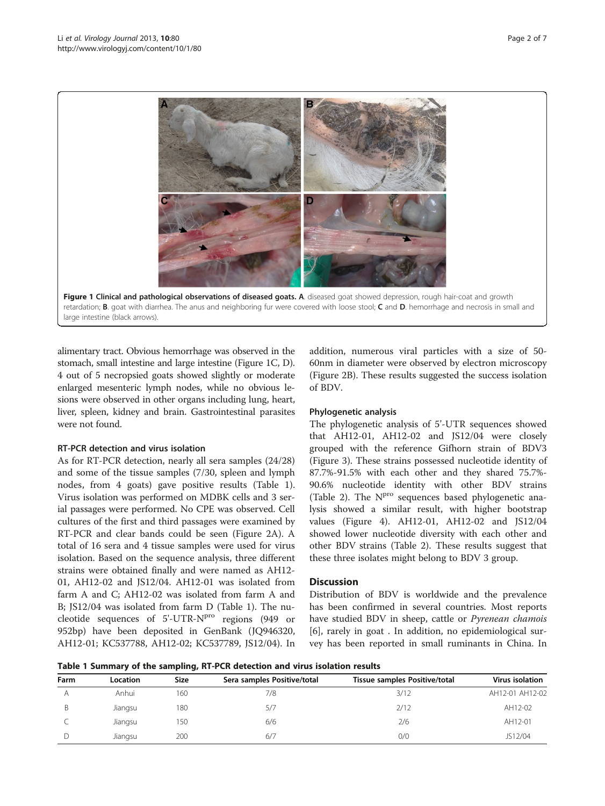<span id="page-1-0"></span>

alimentary tract. Obvious hemorrhage was observed in the stomach, small intestine and large intestine (Figure 1C, D). 4 out of 5 necropsied goats showed slightly or moderate enlarged mesenteric lymph nodes, while no obvious lesions were observed in other organs including lung, heart, liver, spleen, kidney and brain. Gastrointestinal parasites were not found.

#### RT-PCR detection and virus isolation

As for RT-PCR detection, nearly all sera samples (24/28) and some of the tissue samples (7/30, spleen and lymph nodes, from 4 goats) gave positive results (Table 1). Virus isolation was performed on MDBK cells and 3 serial passages were performed. No CPE was observed. Cell cultures of the first and third passages were examined by RT-PCR and clear bands could be seen (Figure [2](#page-2-0)A). A total of 16 sera and 4 tissue samples were used for virus isolation. Based on the sequence analysis, three different strains were obtained finally and were named as AH12- 01, AH12-02 and JS12/04. AH12-01 was isolated from farm A and C; AH12-02 was isolated from farm A and B; JS12/04 was isolated from farm D (Table 1). The nucleotide sequences of 5'-UTR-N<sup>pro</sup> regions (949 or 952bp) have been deposited in GenBank (JQ946320, AH12-01; KC537788, AH12-02; KC537789, JS12/04). In addition, numerous viral particles with a size of 50- 60nm in diameter were observed by electron microscopy (Figure [2B](#page-2-0)). These results suggested the success isolation of BDV.

#### Phylogenetic analysis

The phylogenetic analysis of 5'-UTR sequences showed that AH12-01, AH12-02 and JS12/04 were closely grouped with the reference Gifhorn strain of BDV3 (Figure [3\)](#page-2-0). These strains possessed nucleotide identity of 87.7%-91.5% with each other and they shared 75.7%- 90.6% nucleotide identity with other BDV strains (Table [2](#page-3-0)). The  $N<sup>pro</sup>$  sequences based phylogenetic analysis showed a similar result, with higher bootstrap values (Figure [4\)](#page-4-0). AH12-01, AH12-02 and JS12/04 showed lower nucleotide diversity with each other and other BDV strains (Table [2](#page-3-0)). These results suggest that these three isolates might belong to BDV 3 group.

#### **Discussion**

Distribution of BDV is worldwide and the prevalence has been confirmed in several countries. Most reports have studied BDV in sheep, cattle or *Pyrenean chamois* [[6\]](#page-5-0), rarely in goat . In addition, no epidemiological survey has been reported in small ruminants in China. In

| Table 1 Summary of the sampling, RT-PCR detection and virus isolation results |  |  |  |  |
|-------------------------------------------------------------------------------|--|--|--|--|
|-------------------------------------------------------------------------------|--|--|--|--|

| Farm | Location | <b>Size</b> | Sera samples Positive/total | Tissue samples Positive/total | Virus isolation |
|------|----------|-------------|-----------------------------|-------------------------------|-----------------|
|      | Anhui    | 160         | 7/8                         | 3/12                          | AH12-01 AH12-02 |
|      | Jiangsu  | 180         | 5/7                         | 2/12                          | AH12-02         |
|      | Jiangsu  | 150         | 6/6                         | 2/6                           | AH12-01         |
|      | Jiangsu  | 200         | 6/7                         | 0/0                           | JS12/04         |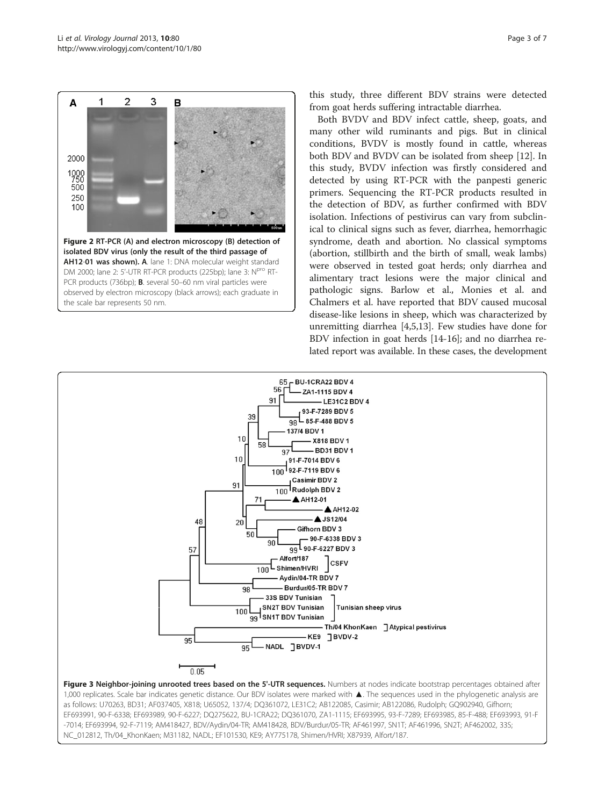<span id="page-2-0"></span>

this study, three different BDV strains were detected from goat herds suffering intractable diarrhea.

Both BVDV and BDV infect cattle, sheep, goats, and many other wild ruminants and pigs. But in clinical conditions, BVDV is mostly found in cattle, whereas both BDV and BVDV can be isolated from sheep [[12\]](#page-5-0). In this study, BVDV infection was firstly considered and detected by using RT-PCR with the panpesti generic primers. Sequencing the RT-PCR products resulted in the detection of BDV, as further confirmed with BDV isolation. Infections of pestivirus can vary from subclinical to clinical signs such as fever, diarrhea, hemorrhagic syndrome, death and abortion. No classical symptoms (abortion, stillbirth and the birth of small, weak lambs) were observed in tested goat herds; only diarrhea and alimentary tract lesions were the major clinical and pathologic signs. Barlow et al., Monies et al. and Chalmers et al. have reported that BDV caused mucosal disease-like lesions in sheep, which was characterized by unremitting diarrhea [[4,5,13\]](#page-5-0). Few studies have done for BDV infection in goat herds [\[14-16\]](#page-5-0); and no diarrhea related report was available. In these cases, the development



as follows: U70263, BD31; AF037405, X818; U65052, 137/4; DQ361072, LE31C2; AB122085, Casimir; AB122086, Rudolph; GQ902940, Gifhorn; EF693991, 90-F-6338; EF693989, 90-F-6227; DQ275622, BU-1CRA22; DQ361070, ZA1-1115; EF693995, 93-F-7289; EF693985, 85-F-488; EF693993, 91-F -7014; EF693994, 92-F-7119; AM418427, BDV/Aydin/04-TR; AM418428, BDV/Burdur/05-TR; AF461997, SN1T; AF461996, SN2T; AF462002, 33S; NC\_012812, Th/04\_KhonKaen; M31182, NADL; EF101530, KE9; AY775178, Shimen/HVRI; X87939, Alfort/187.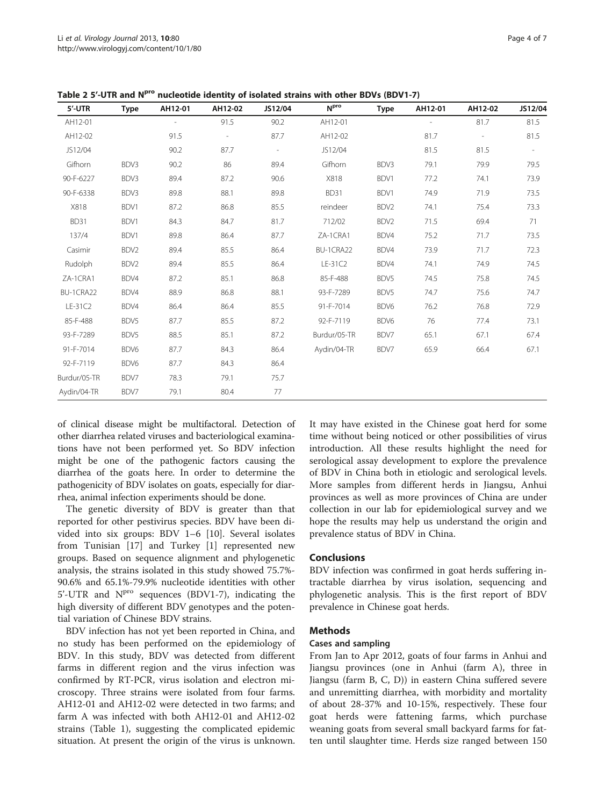| 5'-UTR       | <b>Type</b> | AH12-01 | AH12-02 | JS12/04 | N <sup>pro</sup> | Type | AH12-01 | AH12-02                  | JS12/04                  |
|--------------|-------------|---------|---------|---------|------------------|------|---------|--------------------------|--------------------------|
| AH12-01      |             |         | 91.5    | 90.2    | AH12-01          |      |         | 81.7                     | 81.5                     |
| AH12-02      |             | 91.5    |         | 87.7    | AH12-02          |      | 81.7    | $\overline{\phantom{a}}$ | 81.5                     |
| JS12/04      |             | 90.2    | 87.7    |         | JS12/04          |      | 81.5    | 81.5                     | $\overline{\phantom{a}}$ |
| Gifhorn      | BDV3        | 90.2    | 86      | 89.4    | Gifhorn          | BDV3 | 79.1    | 79.9                     | 79.5                     |
| 90-F-6227    | BDV3        | 89.4    | 87.2    | 90.6    | X818             | BDV1 | 77.2    | 74.1                     | 73.9                     |
| 90-F-6338    | BDV3        | 89.8    | 88.1    | 89.8    | BD31             | BDV1 | 74.9    | 71.9                     | 73.5                     |
| X818         | BDV1        | 87.2    | 86.8    | 85.5    | reindeer         | BDV2 | 74.1    | 75.4                     | 73.3                     |
| BD31         | BDV1        | 84.3    | 84.7    | 81.7    | 712/02           | BDV2 | 71.5    | 69.4                     | 71                       |
| 137/4        | BDV1        | 89.8    | 86.4    | 87.7    | ZA-1CRA1         | BDV4 | 75.2    | 71.7                     | 73.5                     |
| Casimir      | BDV2        | 89.4    | 85.5    | 86.4    | BU-1CRA22        | BDV4 | 73.9    | 71.7                     | 72.3                     |
| Rudolph      | BDV2        | 89.4    | 85.5    | 86.4    | LE-31C2          | BDV4 | 74.1    | 74.9                     | 74.5                     |
| ZA-1CRA1     | BDV4        | 87.2    | 85.1    | 86.8    | 85-F-488         | BDV5 | 74.5    | 75.8                     | 74.5                     |
| BU-1CRA22    | BDV4        | 88.9    | 86.8    | 88.1    | 93-F-7289        | BDV5 | 74.7    | 75.6                     | 74.7                     |
| LE-31C2      | BDV4        | 86.4    | 86.4    | 85.5    | 91-F-7014        | BDV6 | 76.2    | 76.8                     | 72.9                     |
| 85-F-488     | BDV5        | 87.7    | 85.5    | 87.2    | 92-F-7119        | BDV6 | 76      | 77.4                     | 73.1                     |
| 93-F-7289    | BDV5        | 88.5    | 85.1    | 87.2    | Burdur/05-TR     | BDV7 | 65.1    | 67.1                     | 67.4                     |
| 91-F-7014    | BDV6        | 87.7    | 84.3    | 86.4    | Aydin/04-TR      | BDV7 | 65.9    | 66.4                     | 67.1                     |
| 92-F-7119    | BDV6        | 87.7    | 84.3    | 86.4    |                  |      |         |                          |                          |
| Burdur/05-TR | BDV7        | 78.3    | 79.1    | 75.7    |                  |      |         |                          |                          |
| Aydin/04-TR  | BDV7        | 79.1    | 80.4    | 77      |                  |      |         |                          |                          |

<span id="page-3-0"></span>Table 2 5'-UTR and N<sup>pro</sup> nucleotide identity of isolated strains with other BDVs (BDV1-7)

of clinical disease might be multifactoral. Detection of other diarrhea related viruses and bacteriological examinations have not been performed yet. So BDV infection might be one of the pathogenic factors causing the diarrhea of the goats here. In order to determine the pathogenicity of BDV isolates on goats, especially for diarrhea, animal infection experiments should be done.

The genetic diversity of BDV is greater than that reported for other pestivirus species. BDV have been divided into six groups: BDV 1–6 [\[10\]](#page-5-0). Several isolates from Tunisian [[17](#page-6-0)] and Turkey [\[1\]](#page-5-0) represented new groups. Based on sequence alignment and phylogenetic analysis, the strains isolated in this study showed 75.7%- 90.6% and 65.1%-79.9% nucleotide identities with other  $5'-UTR$  and  $N<sup>pro</sup>$  sequences (BDV1-7), indicating the high diversity of different BDV genotypes and the potential variation of Chinese BDV strains.

BDV infection has not yet been reported in China, and no study has been performed on the epidemiology of BDV. In this study, BDV was detected from different farms in different region and the virus infection was confirmed by RT-PCR, virus isolation and electron microscopy. Three strains were isolated from four farms. AH12-01 and AH12-02 were detected in two farms; and farm A was infected with both AH12-01 and AH12-02 strains (Table [1\)](#page-1-0), suggesting the complicated epidemic situation. At present the origin of the virus is unknown. It may have existed in the Chinese goat herd for some time without being noticed or other possibilities of virus introduction. All these results highlight the need for serological assay development to explore the prevalence of BDV in China both in etiologic and serological levels. More samples from different herds in Jiangsu, Anhui provinces as well as more provinces of China are under collection in our lab for epidemiological survey and we hope the results may help us understand the origin and prevalence status of BDV in China.

## Conclusions

BDV infection was confirmed in goat herds suffering intractable diarrhea by virus isolation, sequencing and phylogenetic analysis. This is the first report of BDV prevalence in Chinese goat herds.

# Methods

#### Cases and sampling

From Jan to Apr 2012, goats of four farms in Anhui and Jiangsu provinces (one in Anhui (farm A), three in Jiangsu (farm B, C, D)) in eastern China suffered severe and unremitting diarrhea, with morbidity and mortality of about 28-37% and 10-15%, respectively. These four goat herds were fattening farms, which purchase weaning goats from several small backyard farms for fatten until slaughter time. Herds size ranged between 150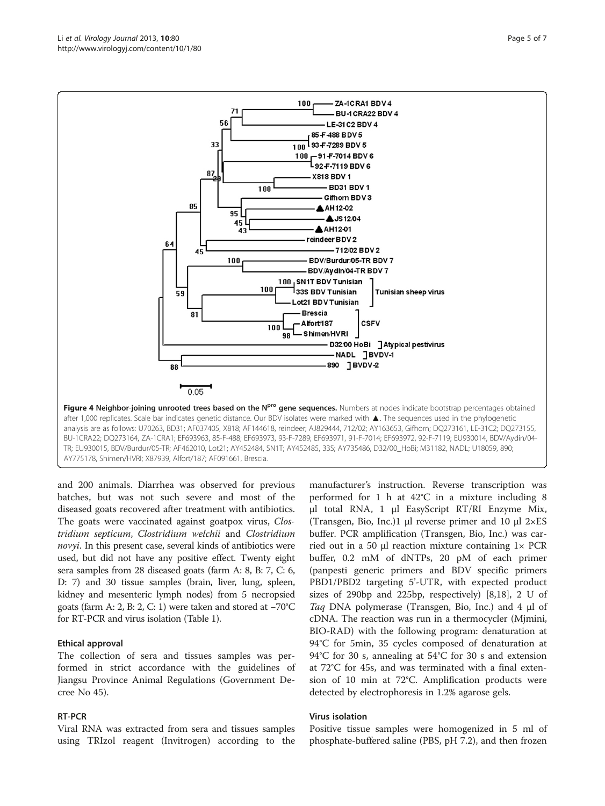<span id="page-4-0"></span>

and 200 animals. Diarrhea was observed for previous batches, but was not such severe and most of the diseased goats recovered after treatment with antibiotics. The goats were vaccinated against goatpox virus, Clostridium septicum, Clostridium welchii and Clostridium novyi. In this present case, several kinds of antibiotics were used, but did not have any positive effect. Twenty eight sera samples from 28 diseased goats (farm A: 8, B: 7, C: 6, D: 7) and 30 tissue samples (brain, liver, lung, spleen, kidney and mesenteric lymph nodes) from 5 necropsied goats (farm A: 2, B: 2, C: 1) were taken and stored at −70°C for RT-PCR and virus isolation (Table [1\)](#page-1-0).

#### Ethical approval

The collection of sera and tissues samples was performed in strict accordance with the guidelines of Jiangsu Province Animal Regulations (Government Decree No 45).

## RT-PCR

Viral RNA was extracted from sera and tissues samples using TRIzol reagent (Invitrogen) according to the

manufacturer's instruction. Reverse transcription was performed for 1 h at 42°C in a mixture including 8 μl total RNA, 1 μl EasyScript RT/RI Enzyme Mix, (Transgen, Bio, Inc.)1 μl reverse primer and 10 μl  $2 \times ES$ buffer. PCR amplification (Transgen, Bio, Inc.) was carried out in a 50 μl reaction mixture containing  $1 \times PCR$ buffer, 0.2 mM of dNTPs, 20 pM of each primer (panpesti generic primers and BDV specific primers PBD1/PBD2 targeting 5'-UTR, with expected product sizes of 290bp and 225bp, respectively) [[8,](#page-5-0)[18\]](#page-6-0), 2 U of Taq DNA polymerase (Transgen, Bio, Inc.) and 4 μl of cDNA. The reaction was run in a thermocycler (Mjmini, BIO-RAD) with the following program: denaturation at 94°C for 5min, 35 cycles composed of denaturation at 94°C for 30 s, annealing at 54°C for 30 s and extension at 72°C for 45s, and was terminated with a final extension of 10 min at 72°C. Amplification products were detected by electrophoresis in 1.2% agarose gels.

#### Virus isolation

Positive tissue samples were homogenized in 5 ml of phosphate-buffered saline (PBS, pH 7.2), and then frozen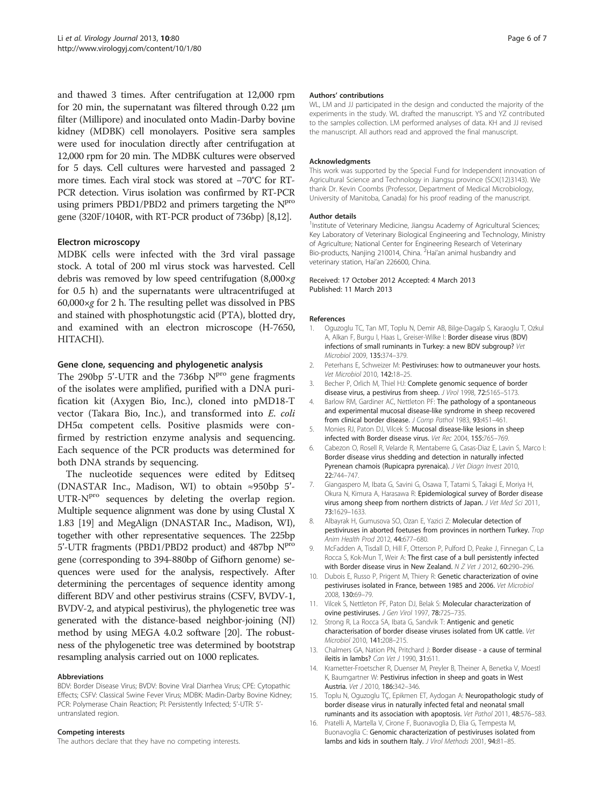<span id="page-5-0"></span>and thawed 3 times. After centrifugation at 12,000 rpm for 20 min, the supernatant was filtered through 0.22 μm filter (Millipore) and inoculated onto Madin-Darby bovine kidney (MDBK) cell monolayers. Positive sera samples were used for inoculation directly after centrifugation at 12,000 rpm for 20 min. The MDBK cultures were observed for 5 days. Cell cultures were harvested and passaged 2 more times. Each viral stock was stored at −70°C for RT-PCR detection. Virus isolation was confirmed by RT-PCR using primers PBD1/PBD2 and primers targeting the N<sup>pro</sup> gene (320F/1040R, with RT-PCR product of 736bp) [8,12].

## Electron microscopy

MDBK cells were infected with the 3rd viral passage stock. A total of 200 ml virus stock was harvested. Cell debris was removed by low speed centrifugation (8,000×g for 0.5 h) and the supernatants were ultracentrifuged at  $60,000 \times g$  for 2 h. The resulting pellet was dissolved in PBS and stained with phosphotungstic acid (PTA), blotted dry, and examined with an electron microscope (H-7650, HITACHI).

## Gene clone, sequencing and phylogenetic analysis

The 290bp  $5'$ -UTR and the 736bp  $N<sup>pro</sup>$  gene fragments of the isolates were amplified, purified with a DNA purification kit (Axygen Bio, Inc.), cloned into pMD18-T vector (Takara Bio, Inc.), and transformed into E. coli DH5α competent cells. Positive plasmids were confirmed by restriction enzyme analysis and sequencing. Each sequence of the PCR products was determined for both DNA strands by sequencing.

The nucleotide sequences were edited by Editseq (DNASTAR Inc., Madison, WI) to obtain ≈950bp 5'-  $UTR-N<sup>pro</sup>$  sequences by deleting the overlap region. Multiple sequence alignment was done by using Clustal X 1.83 [\[19\]](#page-6-0) and MegAlign (DNASTAR Inc., Madison, WI), together with other representative sequences. The 225bp 5'-UTR fragments (PBD1/PBD2 product) and 487bp NPro gene (corresponding to 394-880bp of Gifhorn genome) sequences were used for the analysis, respectively. After determining the percentages of sequence identity among different BDV and other pestivirus strains (CSFV, BVDV-1, BVDV-2, and atypical pestivirus), the phylogenetic tree was generated with the distance-based neighbor-joining (NJ) method by using MEGA 4.0.2 software [[20](#page-6-0)]. The robustness of the phylogenetic tree was determined by bootstrap resampling analysis carried out on 1000 replicates.

#### Abbreviations

BDV: Border Disease Virus; BVDV: Bovine Viral Diarrhea Virus; CPE: Cytopathic Effects; CSFV: Classical Swine Fever Virus; MDBK: Madin-Darby Bovine Kidney; PCR: Polymerase Chain Reaction; PI: Persistently Infected; 5'-UTR: 5' untranslated region.

#### Competing interests

The authors declare that they have no competing interests.

#### Authors' contributions

WL, LM and JJ participated in the design and conducted the majority of the experiments in the study. WL drafted the manuscript. YS and YZ contributed to the samples collection. LM performed analyses of data. KH and JJ revised the manuscript. All authors read and approved the final manuscript.

#### Acknowledgments

This work was supported by the Special Fund for Independent innovation of Agricultural Science and Technology in Jiangsu province (SCX(12)3143). We thank Dr. Kevin Coombs (Professor, Department of Medical Microbiology, University of Manitoba, Canada) for his proof reading of the manuscript.

#### Author details

<sup>1</sup>Institute of Veterinary Medicine, Jiangsu Academy of Agricultural Sciences Key Laboratory of Veterinary Biological Engineering and Technology, Ministry of Agriculture; National Center for Engineering Research of Veterinary Bio-products, Nanjing 210014, China. <sup>2</sup>Hai'an animal husbandry and veterinary station, Hai'an 226600, China.

#### Received: 17 October 2012 Accepted: 4 March 2013 Published: 11 March 2013

#### References

- 1. Oguzoglu TC, Tan MT, Toplu N, Demir AB, Bilge-Dagalp S, Karaoglu T, Ozkul A, Alkan F, Burgu I, Haas L, Greiser-Wilke I: Border disease virus (BDV) infections of small ruminants in Turkey: a new BDV subgroup? Vet Microbiol 2009, 135:374–379.
- 2. Peterhans E, Schweizer M: Pestiviruses: how to outmaneuver your hosts. Vet Microbiol 2010, 142:18–25.
- 3. Becher P, Orlich M, Thiel HJ: Complete genomic sequence of border disease virus, a pestivirus from sheep. J Virol 1998, 72:5165–5173.
- 4. Barlow RM, Gardiner AC, Nettleton PF: The pathology of a spontaneous and experimental mucosal disease-like syndrome in sheep recovered from clinical border disease. *J Comp Pathol* 1983, 93:451-461.
- 5. Monies RJ, Paton DJ, Vilcek S: Mucosal disease-like lesions in sheep infected with Border disease virus. Vet Rec 2004, 155:765–769.
- 6. Cabezon O, Rosell R, Velarde R, Mentaberre G, Casas-Diaz E, Lavin S, Marco I: Border disease virus shedding and detection in naturally infected Pyrenean chamois (Rupicapra pyrenaica). J Vet Diagn Invest 2010, 22:744–747.
- 7. Giangaspero M, Ibata G, Savini G, Osawa T, Tatami S, Takagi E, Moriya H, Okura N, Kimura A, Harasawa R: Epidemiological survey of Border disease virus among sheep from northern districts of Japan. J Vet Med Sci 2011, 73:1629–1633.
- 8. Albayrak H, Gumusova SO, Ozan E, Yazici Z: Molecular detection of pestiviruses in aborted foetuses from provinces in northern Turkey. Trop Anim Health Prod 2012, 44:677–680.
- 9. McFadden A, Tisdall D, Hill F, Otterson P, Pulford D, Peake J, Finnegan C, La Rocca S, Kok-Mun T, Weir A: The first case of a bull persistently infected with Border disease virus in New Zealand. N Z Vet J 2012, 60:290-296.
- 10. Dubois E, Russo P, Prigent M, Thiery R: Genetic characterization of ovine pestiviruses isolated in France, between 1985 and 2006. Vet Microbiol 2008, 130:69–79.
- 11. Vilcek S, Nettleton PF, Paton DJ, Belak S: Molecular characterization of ovine pestiviruses. J Gen Virol 1997, 78:725–735.
- 12. Strong R, La Rocca SA, Ibata G, Sandvik T: Antigenic and genetic characterisation of border disease viruses isolated from UK cattle. Vet Microbiol 2010, 141:208–215.
- 13. Chalmers GA, Nation PN, Pritchard J: Border disease a cause of terminal ileitis in lambs? Can Vet J 1990, 31:611.
- 14. Krametter-Froetscher R, Duenser M, Preyler B, Theiner A, Benetka V, Moestl K, Baumgartner W: Pestivirus infection in sheep and goats in West Austria. Vet J 2010, 186:342–346.
- 15. Toplu N, Oguzoglu TÇ, Epikmen ET, Aydogan A: Neuropathologic study of border disease virus in naturally infected fetal and neonatal small ruminants and its association with apoptosis. Vet Pathol 2011, 48:576–583.
- 16. Pratelli A, Martella V, Cirone F, Buonavoglia D, Elia G, Tempesta M, Buonavoglia C: Genomic characterization of pestiviruses isolated from lambs and kids in southern Italy. J Virol Methods 2001, 94:81–85.